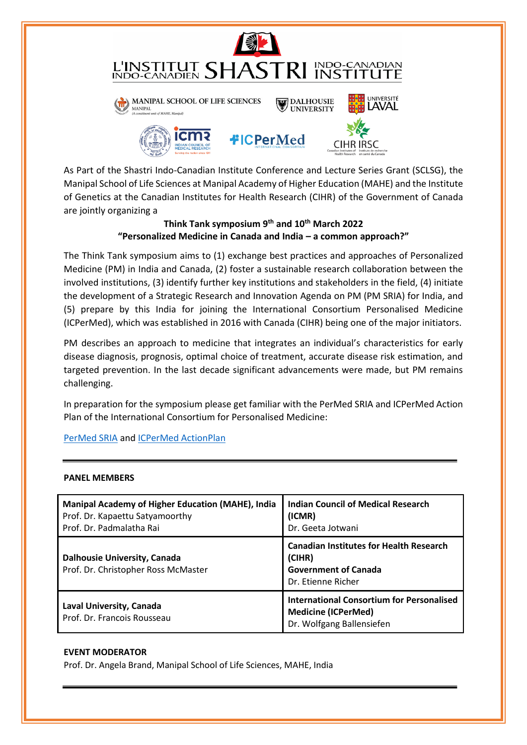

As Part of the Shastri Indo-Canadian Institute Conference and Lecture Series Grant (SCLSG), the Manipal School of Life Sciences at Manipal Academy of Higher Education (MAHE) and the Institute of Genetics at the Canadian Institutes for Health Research (CIHR) of the Government of Canada are jointly organizing a

# **Think Tank symposium 9th and 10th March 2022 "Personalized Medicine in Canada and India – a common approach?"**

The Think Tank symposium aims to (1) exchange best practices and approaches of Personalized Medicine (PM) in India and Canada, (2) foster a sustainable research collaboration between the involved institutions, (3) identify further key institutions and stakeholders in the field, (4) initiate the development of a Strategic Research and Innovation Agenda on PM (PM SRIA) for India, and (5) prepare by this India for joining the International Consortium Personalised Medicine (ICPerMed), which was established in 2016 with Canada (CIHR) being one of the major initiators.

PM describes an approach to medicine that integrates an individual's characteristics for early disease diagnosis, prognosis, optimal choice of treatment, accurate disease risk estimation, and targeted prevention. In the last decade significant advancements were made, but PM remains challenging.

In preparation for the symposium please get familiar with the PerMed SRIA and ICPerMed Action Plan of the International Consortium for Personalised Medicine:

## [PerMed SRIA](https://www.icpermed.eu/media/content/PerMed_SRIA.pdf) an[d ICPerMed ActionPlan](https://www.icpermed.eu/media/content/ICPerMed_Actionplan_2017_web.pdf)

#### **PANEL MEMBERS**

| Manipal Academy of Higher Education (MAHE), India<br>Prof. Dr. Kapaettu Satyamoorthy<br>Prof. Dr. Padmalatha Rai | <b>Indian Council of Medical Research</b><br>(ICMR)<br>Dr. Geeta Jotwani                                      |
|------------------------------------------------------------------------------------------------------------------|---------------------------------------------------------------------------------------------------------------|
| <b>Dalhousie University, Canada</b><br>Prof. Dr. Christopher Ross McMaster                                       | <b>Canadian Institutes for Health Research</b><br>(CIHR)<br><b>Government of Canada</b><br>Dr. Etienne Richer |
| Laval University, Canada<br>Prof. Dr. Francois Rousseau                                                          | <b>International Consortium for Personalised</b><br><b>Medicine (ICPerMed)</b><br>Dr. Wolfgang Ballensiefen   |

#### **EVENT MODERATOR**

Prof. Dr. Angela Brand, Manipal School of Life Sciences, MAHE, India